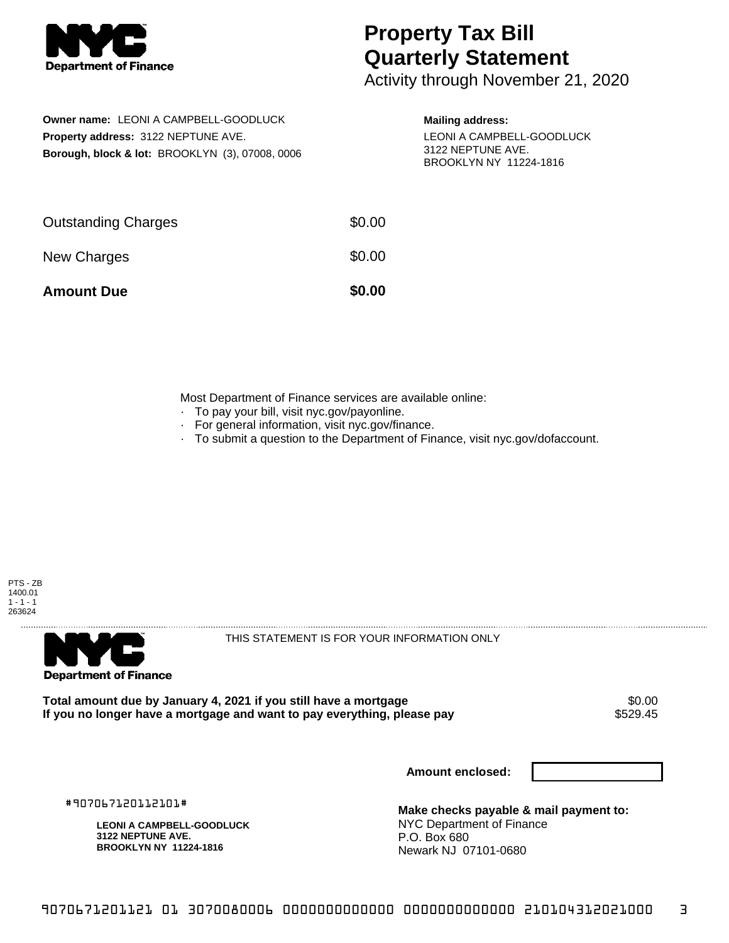

## **Property Tax Bill Quarterly Statement**

Activity through November 21, 2020

**Owner name:** LEONI A CAMPBELL-GOODLUCK **Property address:** 3122 NEPTUNE AVE. **Borough, block & lot:** BROOKLYN (3), 07008, 0006

## **Mailing address:**

LEONI A CAMPBELL-GOODLUCK 3122 NEPTUNE AVE. BROOKLYN NY 11224-1816

| <b>Amount Due</b>          | \$0.00 |
|----------------------------|--------|
| New Charges                | \$0.00 |
| <b>Outstanding Charges</b> | \$0.00 |

Most Department of Finance services are available online:

- · To pay your bill, visit nyc.gov/payonline.
- For general information, visit nyc.gov/finance.
- · To submit a question to the Department of Finance, visit nyc.gov/dofaccount.





THIS STATEMENT IS FOR YOUR INFORMATION ONLY

Total amount due by January 4, 2021 if you still have a mortgage **\$0.00** \$0.00<br>If you no longer have a mortgage and want to pay everything, please pay If you no longer have a mortgage and want to pay everything, please pay

**Amount enclosed:**

#907067120112101#

**LEONI A CAMPBELL-GOODLUCK 3122 NEPTUNE AVE. BROOKLYN NY 11224-1816**

**Make checks payable & mail payment to:** NYC Department of Finance P.O. Box 680 Newark NJ 07101-0680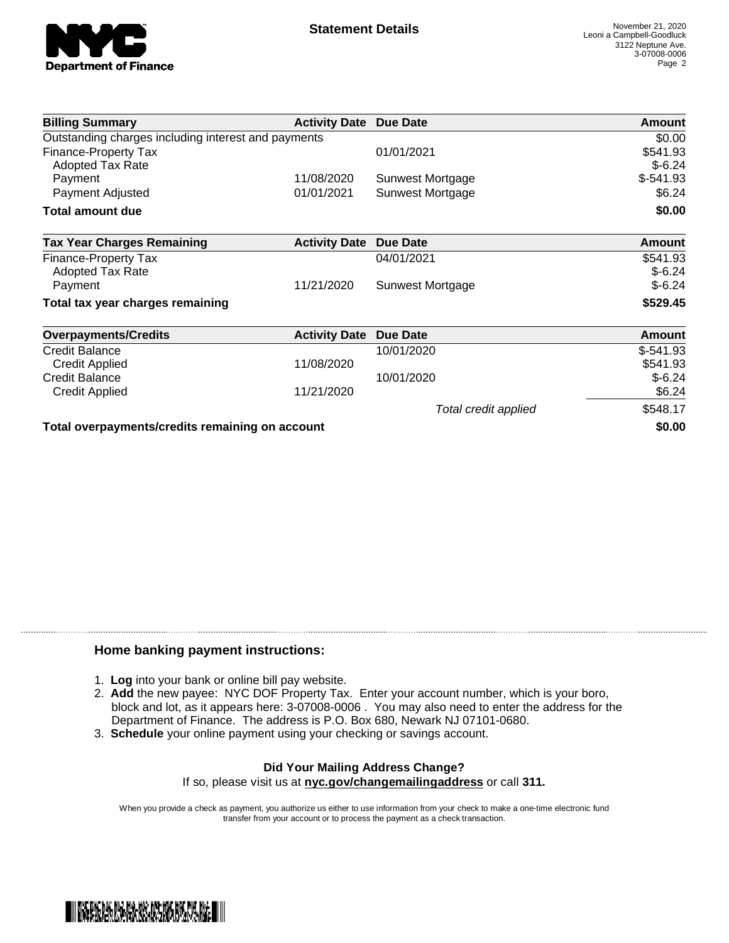

| <b>Billing Summary</b>                              | <b>Activity Date Due Date</b> |                      | Amount        |
|-----------------------------------------------------|-------------------------------|----------------------|---------------|
| Outstanding charges including interest and payments | \$0.00                        |                      |               |
| <b>Finance-Property Tax</b>                         |                               | 01/01/2021           | \$541.93      |
| <b>Adopted Tax Rate</b>                             |                               |                      | $$-6.24$      |
| Payment                                             | 11/08/2020                    | Sunwest Mortgage     | $$-541.93$    |
| Payment Adjusted                                    | 01/01/2021                    | Sunwest Mortgage     | \$6.24        |
| <b>Total amount due</b>                             |                               |                      | \$0.00        |
| <b>Tax Year Charges Remaining</b>                   | <b>Activity Date</b>          | <b>Due Date</b>      | <b>Amount</b> |
| Finance-Property Tax                                |                               | 04/01/2021           | \$541.93      |
| <b>Adopted Tax Rate</b>                             |                               |                      | $$-6.24$      |
| Payment                                             | 11/21/2020                    | Sunwest Mortgage     | $$-6.24$      |
| Total tax year charges remaining                    |                               |                      | \$529.45      |
| <b>Overpayments/Credits</b>                         | <b>Activity Date</b>          | <b>Due Date</b>      | <b>Amount</b> |
| <b>Credit Balance</b>                               |                               | 10/01/2020           | $$-541.93$    |
| <b>Credit Applied</b>                               | 11/08/2020                    |                      | \$541.93      |
| <b>Credit Balance</b>                               |                               | 10/01/2020           | $$-6.24$      |
| <b>Credit Applied</b>                               | 11/21/2020                    |                      | \$6.24        |
|                                                     |                               | Total credit applied | \$548.17      |
| Total overpayments/credits remaining on account     |                               |                      | \$0.00        |

## **Home banking payment instructions:**

- 1. **Log** into your bank or online bill pay website.
- 2. **Add** the new payee: NYC DOF Property Tax. Enter your account number, which is your boro, block and lot, as it appears here: 3-07008-0006 . You may also need to enter the address for the Department of Finance. The address is P.O. Box 680, Newark NJ 07101-0680.
- 3. **Schedule** your online payment using your checking or savings account.

## **Did Your Mailing Address Change?** If so, please visit us at **nyc.gov/changemailingaddress** or call **311.**

When you provide a check as payment, you authorize us either to use information from your check to make a one-time electronic fund transfer from your account or to process the payment as a check transaction.